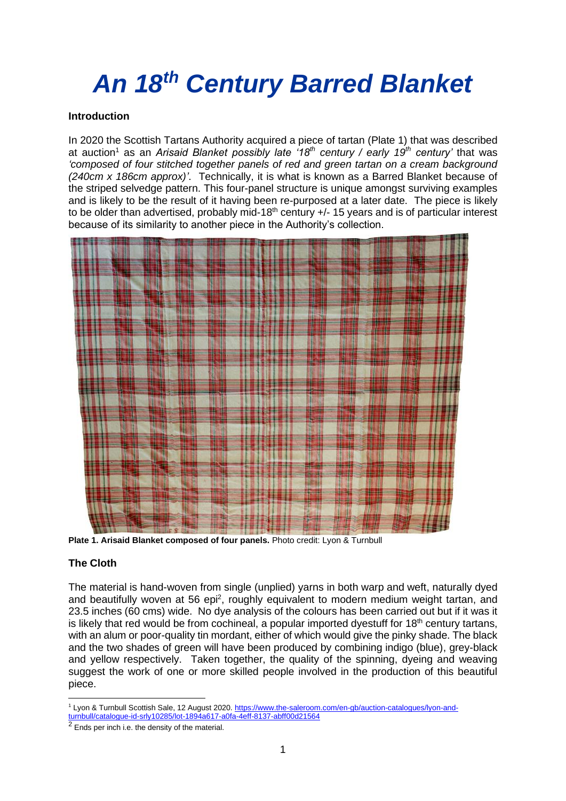# *An 18th Century Barred Blanket*

## **Introduction**

In 2020 the Scottish Tartans Authority acquired a piece of tartan (Plate 1) that was described at auction<sup>1</sup> as an *Arisaid Blanket possibly late '18th century / early 19th century'* that was *'composed of four stitched together panels of red and green tartan on a cream background (240cm x 186cm approx)'*. Technically, it is what is known as a Barred Blanket because of the striped selvedge pattern. This four-panel structure is unique amongst surviving examples and is likely to be the result of it having been re-purposed at a later date. The piece is likely to be older than advertised, probably mid-18<sup>th</sup> century  $+/-$  15 years and is of particular interest because of its similarity to another piece in the Authority's collection.



**Plate 1. Arisaid Blanket composed of four panels.** Photo credit: Lyon & Turnbull

# **The Cloth**

The material is hand-woven from single (unplied) yarns in both warp and weft, naturally dyed and beautifully woven at 56 epi<sup>2</sup>, roughly equivalent to modern medium weight tartan, and 23.5 inches (60 cms) wide. No dye analysis of the colours has been carried out but if it was it is likely that red would be from cochineal, a popular imported dyestuff for  $18<sup>th</sup>$  century tartans, with an alum or poor-quality tin mordant, either of which would give the pinky shade. The black and the two shades of green will have been produced by combining indigo (blue), grey-black and yellow respectively. Taken together, the quality of the spinning, dyeing and weaving suggest the work of one or more skilled people involved in the production of this beautiful piece.

<sup>1</sup> Lyon & Turnbull Scottish Sale, 12 August 2020. [https://www.the-saleroom.com/en-gb/auction-catalogues/lyon-and](https://www.the-saleroom.com/en-gb/auction-catalogues/lyon-and-turnbull/catalogue-id-srly10285/lot-1894a617-a0fa-4eff-8137-abff00d21564)[turnbull/catalogue-id-srly10285/lot-1894a617-a0fa-4eff-8137-abff00d21564](https://www.the-saleroom.com/en-gb/auction-catalogues/lyon-and-turnbull/catalogue-id-srly10285/lot-1894a617-a0fa-4eff-8137-abff00d21564)

 $<sup>2</sup>$  Ends per inch i.e. the density of the material.</sup>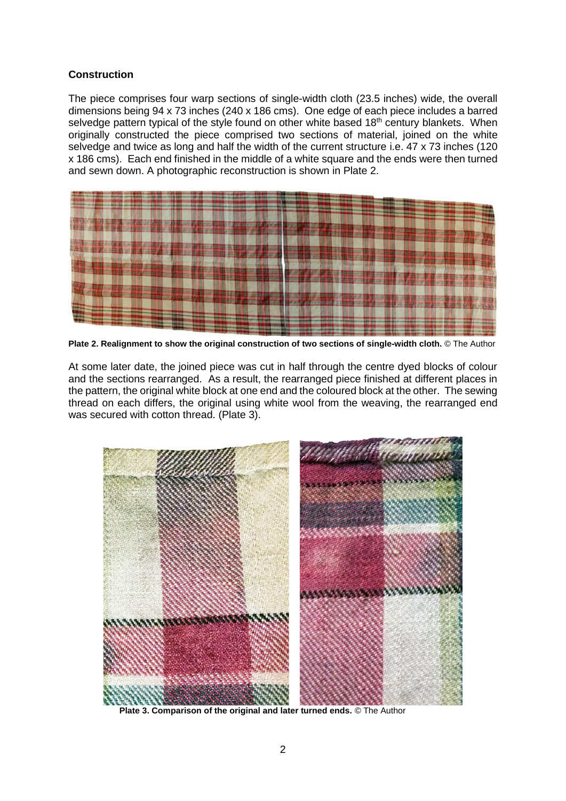#### **Construction**

The piece comprises four warp sections of single-width cloth (23.5 inches) wide, the overall dimensions being 94 x 73 inches (240 x 186 cms). One edge of each piece includes a barred selvedge pattern typical of the style found on other white based 18<sup>th</sup> century blankets. When originally constructed the piece comprised two sections of material, joined on the white selvedge and twice as long and half the width of the current structure i.e. 47 x 73 inches (120 x 186 cms). Each end finished in the middle of a white square and the ends were then turned and sewn down. A photographic reconstruction is shown in Plate 2.



**Plate 2. Realignment to show the original construction of two sections of single-width cloth.** © The Author

At some later date, the joined piece was cut in half through the centre dyed blocks of colour and the sections rearranged. As a result, the rearranged piece finished at different places in the pattern, the original white block at one end and the coloured block at the other. The sewing thread on each differs, the original using white wool from the weaving, the rearranged end was secured with cotton thread. (Plate 3).



 **Plate 3. Comparison of the original and later turned ends.** © The Author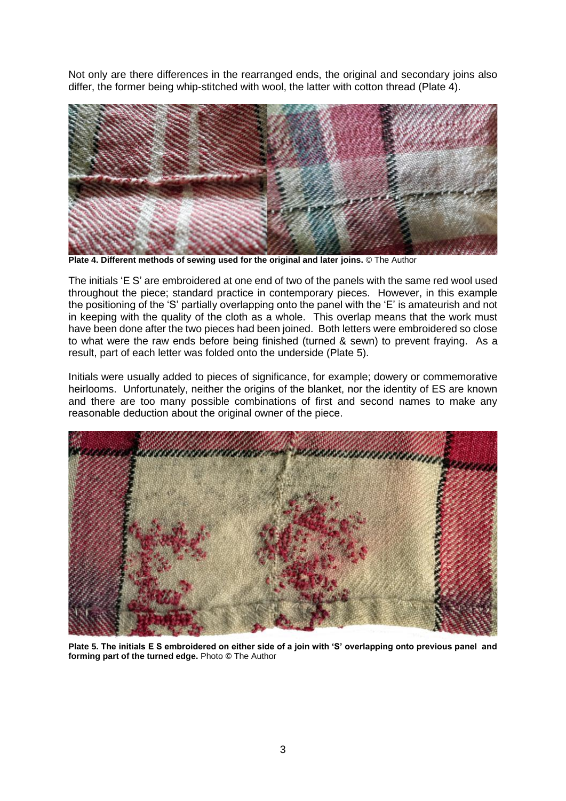Not only are there differences in the rearranged ends, the original and secondary joins also differ, the former being whip-stitched with wool, the latter with cotton thread (Plate 4).



**Plate 4. Different methods of sewing used for the original and later joins.** © The Author

The initials 'E S' are embroidered at one end of two of the panels with the same red wool used throughout the piece; standard practice in contemporary pieces. However, in this example the positioning of the 'S' partially overlapping onto the panel with the 'E' is amateurish and not in keeping with the quality of the cloth as a whole. This overlap means that the work must have been done after the two pieces had been joined. Both letters were embroidered so close to what were the raw ends before being finished (turned & sewn) to prevent fraying. As a result, part of each letter was folded onto the underside (Plate 5).

Initials were usually added to pieces of significance, for example; dowery or commemorative heirlooms. Unfortunately, neither the origins of the blanket, nor the identity of ES are known and there are too many possible combinations of first and second names to make any reasonable deduction about the original owner of the piece.



**Plate 5. The initials E S embroidered on either side of a join with 'S' overlapping onto previous panel and forming part of the turned edge.** Photo **©** The Author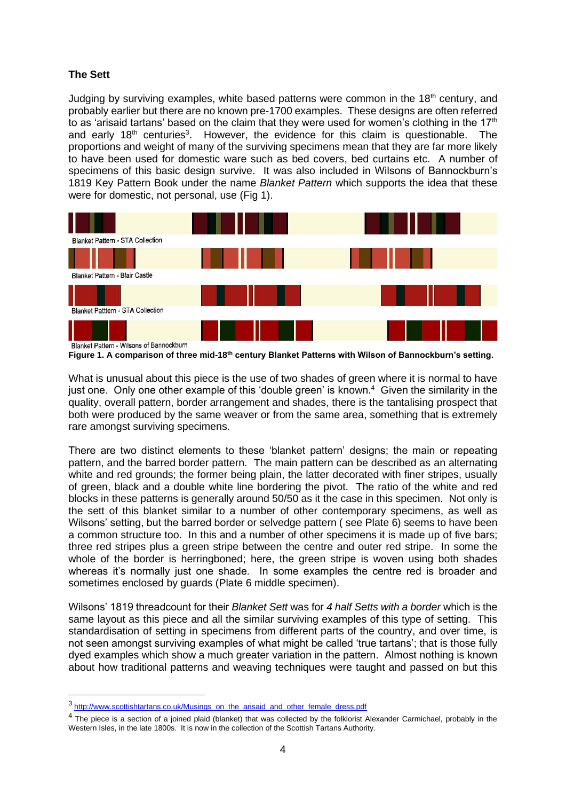## **The Sett**

Judging by surviving examples, white based patterns were common in the 18<sup>th</sup> century, and probably earlier but there are no known pre-1700 examples. These designs are often referred to as 'arisaid tartans' based on the claim that they were used for women's clothing in the 17<sup>th</sup> and early 18<sup>th</sup> centuries<sup>3</sup>. However, the evidence for this claim is questionable. The proportions and weight of many of the surviving specimens mean that they are far more likely to have been used for domestic ware such as bed covers, bed curtains etc. A number of specimens of this basic design survive. It was also included in Wilsons of Bannockburn's 1819 Key Pattern Book under the name *Blanket Pattern* which supports the idea that these were for domestic, not personal, use (Fig 1).



**Figure 1. A comparison of three mid-18th century Blanket Patterns with Wilson of Bannockburn's setting.**

What is unusual about this piece is the use of two shades of green where it is normal to have just one. Only one other example of this 'double green' is known.<sup>4</sup> Given the similarity in the quality, overall pattern, border arrangement and shades, there is the tantalising prospect that both were produced by the same weaver or from the same area, something that is extremely rare amongst surviving specimens.

There are two distinct elements to these 'blanket pattern' designs; the main or repeating pattern, and the barred border pattern. The main pattern can be described as an alternating white and red grounds; the former being plain, the latter decorated with finer stripes, usually of green, black and a double white line bordering the pivot. The ratio of the white and red blocks in these patterns is generally around 50/50 as it the case in this specimen. Not only is the sett of this blanket similar to a number of other contemporary specimens, as well as Wilsons' setting, but the barred border or selvedge pattern ( see Plate 6) seems to have been a common structure too. In this and a number of other specimens it is made up of five bars; three red stripes plus a green stripe between the centre and outer red stripe. In some the whole of the border is herringboned; here, the green stripe is woven using both shades whereas it's normally just one shade. In some examples the centre red is broader and sometimes enclosed by guards (Plate 6 middle specimen).

Wilsons' 1819 threadcount for their *Blanket Sett* was for *4 half Setts with a border* which is the same layout as this piece and all the similar surviving examples of this type of setting. This standardisation of setting in specimens from different parts of the country, and over time, is not seen amongst surviving examples of what might be called 'true tartans'; that is those fully dyed examples which show a much greater variation in the pattern. Almost nothing is known about how traditional patterns and weaving techniques were taught and passed on but this

<sup>3</sup> [http://www.scottishtartans.co.uk/Musings\\_on\\_the\\_arisaid\\_and\\_other\\_female\\_dress.pdf](http://www.scottishtartans.co.uk/Musings_on_the_arisaid_and_other_female_dress.pdf)

<sup>&</sup>lt;sup>4</sup> The piece is a section of a joined plaid (blanket) that was collected by the folklorist Alexander Carmichael, probably in the Western Isles, in the late 1800s. It is now in the collection of the Scottish Tartans Authority.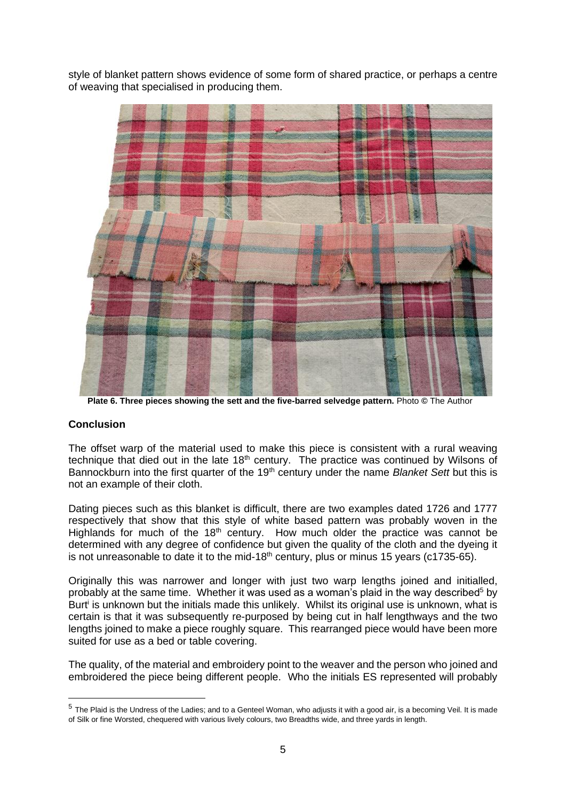style of blanket pattern shows evidence of some form of shared practice, or perhaps a centre of weaving that specialised in producing them.



 **Plate 6. Three pieces showing the sett and the five-barred selvedge pattern.** Photo **©** The Author

#### **Conclusion**

The offset warp of the material used to make this piece is consistent with a rural weaving technique that died out in the late  $18<sup>th</sup>$  century. The practice was continued by Wilsons of Bannockburn into the first quarter of the 19th century under the name *Blanket Sett* but this is not an example of their cloth.

Dating pieces such as this blanket is difficult, there are two examples dated 1726 and 1777 respectively that show that this style of white based pattern was probably woven in the Highlands for much of the  $18<sup>th</sup>$  century. How much older the practice was cannot be determined with any degree of confidence but given the quality of the cloth and the dyeing it is not unreasonable to date it to the mid-18<sup>th</sup> century, plus or minus 15 years (c1735-65).

Originally this was narrower and longer with just two warp lengths joined and initialled, probably at the same time. Whether it was used as a woman's plaid in the way described<sup>5</sup> by Burt<sup>i</sup> is unknown but the initials made this unlikely. Whilst its original use is unknown, what is certain is that it was subsequently re-purposed by being cut in half lengthways and the two lengths joined to make a piece roughly square. This rearranged piece would have been more suited for use as a bed or table covering.

The quality, of the material and embroidery point to the weaver and the person who joined and embroidered the piece being different people. Who the initials ES represented will probably

<sup>&</sup>lt;sup>5</sup> The Plaid is the Undress of the Ladies; and to a Genteel Woman, who adjusts it with a good air, is a becoming Veil. It is made of Silk or fine Worsted, chequered with various lively colours, two Breadths wide, and three yards in length.